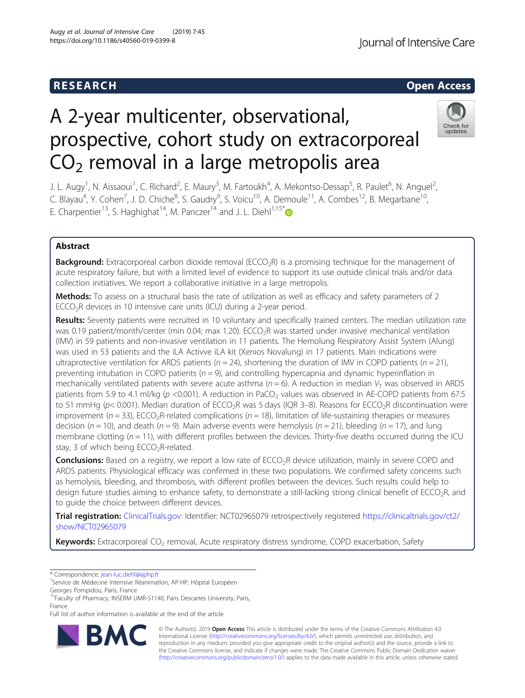# **RESEARCH CHEAR CHEAR CHEAR CHEAR CHEAR CHEAR CHEAR CHEAR CHEAR CHEAR CHEAR CHEAR CHEAR CHEAR CHEAR CHEAR CHEAR**

# A 2-year multicenter, observational, prospective, cohort study on extracorporeal  $CO<sub>2</sub>$  removal in a large metropolis area



J. L. Augy<sup>1</sup>, N. Aissaoui<sup>1</sup>, C. Richard<sup>2</sup>, E. Maury<sup>3</sup>, M. Fartoukh<sup>4</sup>, A. Mekontso-Dessap<sup>5</sup>, R. Paulet<sup>6</sup>, N. Anguel<sup>2</sup> .<br>, C. Blayau<sup>4</sup>, Y. Cohen<sup>7</sup>, J. D. Chiche<sup>8</sup>, S. Gaudry<sup>9</sup>, S. Voicu<sup>10</sup>, A. Demoule<sup>11</sup>, A. Combes<sup>12</sup>, B. Megarbane<sup>10</sup>, E. Charpentier<sup>13</sup>, S. Haghighat<sup>14</sup>, M. Panczer<sup>14</sup> and J. L. Diehl<sup>1,15[\\*](http://orcid.org/0000-0001-5378-6762)</sup>

# Abstract

**Background:** Extracorporeal carbon dioxide removal ( $ECCO_2R$ ) is a promising technique for the management of acute respiratory failure, but with a limited level of evidence to support its use outside clinical trials and/or data collection initiatives. We report a collaborative initiative in a large metropolis.

Methods: To assess on a structural basis the rate of utilization as well as efficacy and safety parameters of 2 ECCO<sub>2</sub>R devices in 10 intensive care units (ICU) during a 2-year period.

Results: Seventy patients were recruited in 10 voluntary and specifically trained centers. The median utilization rate was 0.19 patient/month/center (min 0.04; max 1.20). ECCO<sub>2</sub>R was started under invasive mechanical ventilation (IMV) in 59 patients and non-invasive ventilation in 11 patients. The Hemolung Respiratory Assist System (Alung) was used in 53 patients and the iLA Activve iLA kit (Xenios Novalung) in 17 patients. Main indications were ultraprotective ventilation for ARDS patients ( $n = 24$ ), shortening the duration of IMV in COPD patients ( $n = 21$ ), preventing intubation in COPD patients ( $n = 9$ ), and controlling hypercapnia and dynamic hyperinflation in mechanically ventilated patients with severe acute asthma ( $n = 6$ ). A reduction in median  $V<sub>T</sub>$  was observed in ARDS patients from 5.9 to 4.1 ml/kg ( $p$  <0.001). A reduction in PaCO<sub>2</sub> values was observed in AE-COPD patients from 67.5 to 51 mmHg ( $p$ < 0.001). Median duration of ECCO<sub>2</sub>R was 5 days (IQR 3-8). Reasons for ECCO<sub>2</sub>R discontinuation were improvement ( $n = 33$ ), ECCO<sub>2</sub>R-related complications ( $n = 18$ ), limitation of life-sustaining therapies or measures decision ( $n = 10$ ), and death ( $n = 9$ ). Main adverse events were hemolysis ( $n = 21$ ), bleeding ( $n = 17$ ), and lung membrane clotting ( $n = 11$ ), with different profiles between the devices. Thirty-five deaths occurred during the ICU stay, 3 of which being  $ECCO<sub>2</sub>R$ -related.

**Conclusions:** Based on a registry, we report a low rate of ECCO<sub>2</sub>R device utilization, mainly in severe COPD and ARDS patients. Physiological efficacy was confirmed in these two populations. We confirmed safety concerns such as hemolysis, bleeding, and thrombosis, with different profiles between the devices. Such results could help to design future studies aiming to enhance safety, to demonstrate a still-lacking strong clinical benefit of ECCO<sub>2</sub>R, and to guide the choice between different devices.

Trial registration: [ClinicalTrials.gov](http://clinicaltrials.gov): Identifier: NCT02965079 retrospectively registered [https://clinicaltrials.gov/ct2/](https://clinicaltrials.gov/ct2/show/NCT02965079) [show/NCT02965079](https://clinicaltrials.gov/ct2/show/NCT02965079)

**Keywords:** Extracorporeal CO<sub>2</sub> removal, Acute respiratory distress syndrome, COPD exacerbation, Safety

\* Correspondence: [jean-luc.diehl@aphp.fr](mailto:jean-luc.diehl@aphp.fr) <sup>1</sup>

Georges Pompidou, Paris, France

Full list of author information is available at the end of the article



© The Author(s). 2019 Open Access This article is distributed under the terms of the Creative Commons Attribution 4.0 International License [\(http://creativecommons.org/licenses/by/4.0/](http://creativecommons.org/licenses/by/4.0/)), which permits unrestricted use, distribution, and reproduction in any medium, provided you give appropriate credit to the original author(s) and the source, provide a link to the Creative Commons license, and indicate if changes were made. The Creative Commons Public Domain Dedication waiver [\(http://creativecommons.org/publicdomain/zero/1.0/](http://creativecommons.org/publicdomain/zero/1.0/)) applies to the data made available in this article, unless otherwise stated.

<sup>&</sup>lt;sup>1</sup>Service de Médecine Intensive Réanimation, AP-HP, Hôpital Européen

<sup>&</sup>lt;sup>15</sup>Faculty of Pharmacy, INSERM UMR-S1140, Paris Descartes University, Paris, France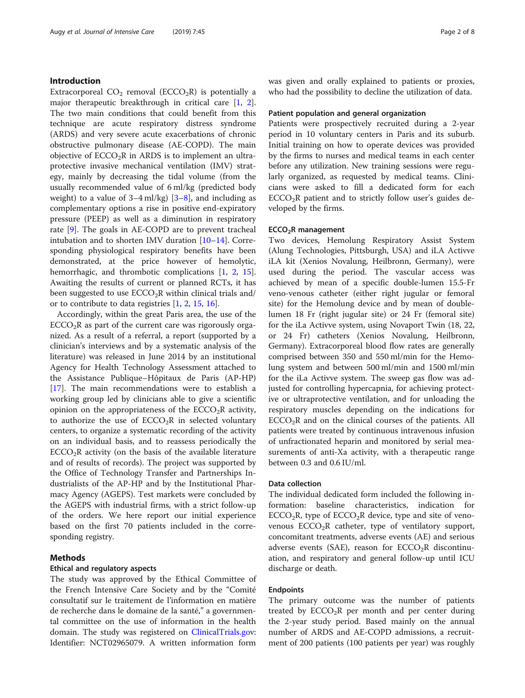### Introduction

Extracorporeal  $CO<sub>2</sub>$  removal (ECCO<sub>2</sub>R) is potentially a major therapeutic breakthrough in critical care [\[1](#page-6-0), [2](#page-6-0)]. The two main conditions that could benefit from this technique are acute respiratory distress syndrome (ARDS) and very severe acute exacerbations of chronic obstructive pulmonary disease (AE-COPD). The main objective of  $ECCO<sub>2</sub>R$  in ARDS is to implement an ultraprotective invasive mechanical ventilation (IMV) strategy, mainly by decreasing the tidal volume (from the usually recommended value of 6 ml/kg (predicted body weight) to a value of  $3-4$  $3-4$  ml/kg)  $[3-8]$  $[3-8]$  $[3-8]$ , and including as complementary options a rise in positive end-expiratory pressure (PEEP) as well as a diminution in respiratory rate [\[9](#page-6-0)]. The goals in AE-COPD are to prevent tracheal intubation and to shorten IMV duration [\[10](#page-6-0)–[14\]](#page-6-0). Corresponding physiological respiratory benefits have been demonstrated, at the price however of hemolytic, hemorrhagic, and thrombotic complications [\[1](#page-6-0), [2](#page-6-0), [15](#page-6-0)]. Awaiting the results of current or planned RCTs, it has been suggested to use  $ECCO<sub>2</sub>R$  within clinical trials and/ or to contribute to data registries [\[1,](#page-6-0) [2](#page-6-0), [15,](#page-6-0) [16\]](#page-6-0).

Accordingly, within the great Paris area, the use of the  $ECCO<sub>2</sub>R$  as part of the current care was rigorously organized. As a result of a referral, a report (supported by a clinician's interviews and by a systematic analysis of the literature) was released in June 2014 by an institutional Agency for Health Technology Assessment attached to the Assistance Publique–Hôpitaux de Paris (AP-HP) [[17\]](#page-6-0). The main recommendations were to establish a working group led by clinicians able to give a scientific opinion on the appropriateness of the  $ECCO<sub>2</sub>R$  activity, to authorize the use of  $ECCO<sub>2</sub>R$  in selected voluntary centers, to organize a systematic recording of the activity on an individual basis, and to reassess periodically the  $ECCO<sub>2</sub>R$  activity (on the basis of the available literature and of results of records). The project was supported by the Office of Technology Transfer and Partnerships Industrialists of the AP-HP and by the Institutional Pharmacy Agency (AGEPS). Test markets were concluded by the AGEPS with industrial firms, with a strict follow-up of the orders. We here report our initial experience based on the first 70 patients included in the corresponding registry.

### Methods

## Ethical and regulatory aspects

The study was approved by the Ethical Committee of the French Intensive Care Society and by the "Comité consultatif sur le traitement de l'information en matière de recherche dans le domaine de la santé," a governmental committee on the use of information in the health domain. The study was registered on [ClinicalTrials.gov](http://clinicaltrials.gov): Identifier: NCT02965079. A written information form

was given and orally explained to patients or proxies, who had the possibility to decline the utilization of data.

#### Patient population and general organization

Patients were prospectively recruited during a 2-year period in 10 voluntary centers in Paris and its suburb. Initial training on how to operate devices was provided by the firms to nurses and medical teams in each center before any utilization. New training sessions were regularly organized, as requested by medical teams. Clinicians were asked to fill a dedicated form for each  $ECCO<sub>2</sub>R$  patient and to strictly follow user's guides developed by the firms.

#### ECCO2R management

Two devices, Hemolung Respiratory Assist System (Alung Technologies, Pittsburgh, USA) and iLA Activve iLA kit (Xenios Novalung, Heilbronn, Germany), were used during the period. The vascular access was achieved by mean of a specific double-lumen 15.5-Fr veno-venous catheter (either right jugular or femoral site) for the Hemolung device and by mean of doublelumen 18 Fr (right jugular site) or 24 Fr (femoral site) for the iLa Activve system, using Novaport Twin (18, 22, or 24 Fr) catheters (Xenios Novalung, Heilbronn, Germany). Extracorporeal blood flow rates are generally comprised between 350 and 550 ml/min for the Hemolung system and between 500 ml/min and 1500 ml/min for the iLa Activve system. The sweep gas flow was adjusted for controlling hypercapnia, for achieving protective or ultraprotective ventilation, and for unloading the respiratory muscles depending on the indications for  $ECCO<sub>2</sub>R$  and on the clinical courses of the patients. All patients were treated by continuous intravenous infusion of unfractionated heparin and monitored by serial measurements of anti-Xa activity, with a therapeutic range between 0.3 and 0.6 IU/ml.

#### Data collection

The individual dedicated form included the following information: baseline characteristics, indication for  $ECCO<sub>2</sub>R$ , type of  $ECCO<sub>2</sub>R$  device, type and site of venovenous  $ECCO<sub>2</sub>R$  catheter, type of ventilatory support, concomitant treatments, adverse events (AE) and serious adverse events (SAE), reason for  $ECCO<sub>2</sub>R$  discontinuation, and respiratory and general follow-up until ICU discharge or death.

#### Endpoints

The primary outcome was the number of patients treated by  $ECCO<sub>2</sub>R$  per month and per center during the 2-year study period. Based mainly on the annual number of ARDS and AE-COPD admissions, a recruitment of 200 patients (100 patients per year) was roughly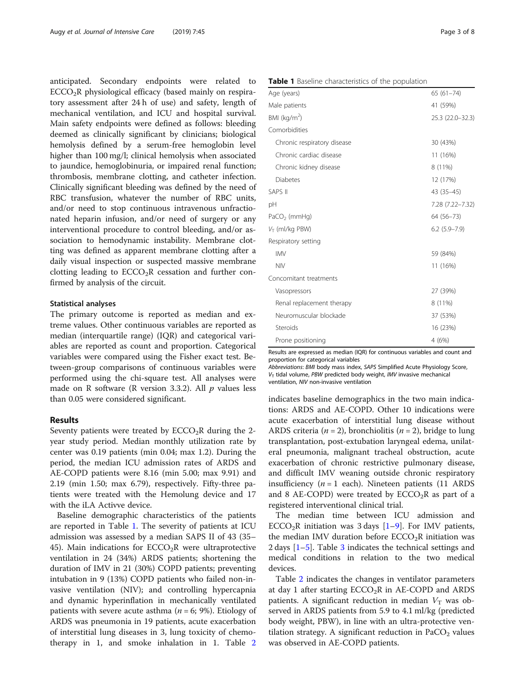anticipated. Secondary endpoints were related to  $ECCO<sub>2</sub>R$  physiological efficacy (based mainly on respiratory assessment after 24 h of use) and safety, length of mechanical ventilation, and ICU and hospital survival. Main safety endpoints were defined as follows: bleeding deemed as clinically significant by clinicians; biological hemolysis defined by a serum-free hemoglobin level higher than 100 mg/l; clinical hemolysis when associated to jaundice, hemoglobinuria, or impaired renal function; thrombosis, membrane clotting, and catheter infection. Clinically significant bleeding was defined by the need of RBC transfusion, whatever the number of RBC units, and/or need to stop continuous intravenous unfractionated heparin infusion, and/or need of surgery or any interventional procedure to control bleeding, and/or association to hemodynamic instability. Membrane clotting was defined as apparent membrane clotting after a daily visual inspection or suspected massive membrane clotting leading to  $ECCO<sub>2</sub>R$  cessation and further confirmed by analysis of the circuit.

#### Statistical analyses

The primary outcome is reported as median and extreme values. Other continuous variables are reported as median (interquartile range) (IQR) and categorical variables are reported as count and proportion. Categorical variables were compared using the Fisher exact test. Between-group comparisons of continuous variables were performed using the chi-square test. All analyses were made on R software (R version 3.3.2). All  $p$  values less than 0.05 were considered significant.

#### Results

Seventy patients were treated by  $ECCO<sub>2</sub>R$  during the 2year study period. Median monthly utilization rate by center was 0.19 patients (min 0.04; max 1.2). During the period, the median ICU admission rates of ARDS and AE-COPD patients were 8.16 (min 5.00; max 9.91) and 2.19 (min 1.50; max 6.79), respectively. Fifty-three patients were treated with the Hemolung device and 17 with the iLA Activve device.

Baseline demographic characteristics of the patients are reported in Table 1. The severity of patients at ICU admission was assessed by a median SAPS II of 43 (35– 45). Main indications for  $ECCO<sub>2</sub>R$  were ultraprotective ventilation in 24 (34%) ARDS patients; shortening the duration of IMV in 21 (30%) COPD patients; preventing intubation in 9 (13%) COPD patients who failed non-invasive ventilation (NIV); and controlling hypercapnia and dynamic hyperinflation in mechanically ventilated patients with severe acute asthma ( $n = 6$ ; 9%). Etiology of ARDS was pneumonia in 19 patients, acute exacerbation of interstitial lung diseases in 3, lung toxicity of chemotherapy in 1, and smoke inhalation in 1. Table [2](#page-3-0)

#### Table 1 Baseline characteristics of the population

| <b>EXPLC F</b> Dasching Gridiacteristics of the population |                  |
|------------------------------------------------------------|------------------|
| Age (years)                                                | $65(61 - 74)$    |
| Male patients                                              | 41 (59%)         |
| BMI (kg/m <sup>2</sup> )                                   | 25.3 (22.0-32.3) |
| Comorbidities                                              |                  |
| Chronic respiratory disease                                | 30 (43%)         |
| Chronic cardiac disease                                    | 11 (16%)         |
| Chronic kidney disease                                     | 8 (11%)          |
| <b>Diabetes</b>                                            | 12 (17%)         |
| <b>SAPS II</b>                                             | 43 (35-45)       |
| рH                                                         | 7.28 (7.22-7.32) |
| PaCO <sub>2</sub> (mmHg)                                   | 64 (56-73)       |
| $V_T$ (ml/kg PBW)                                          | $6.2$ (5.9-7.9)  |
| Respiratory setting                                        |                  |
| <b>IMV</b>                                                 | 59 (84%)         |
| <b>NIV</b>                                                 | 11 (16%)         |
| Concomitant treatments                                     |                  |
| Vasopressors                                               | 27 (39%)         |
| Renal replacement therapy                                  | 8 (11%)          |
| Neuromuscular blockade                                     | 37 (53%)         |
| Steroids                                                   | 16 (23%)         |
| Prone positioning                                          | 4 (6%)           |

Results are expressed as median (IQR) for continuous variables and count and proportion for categorical variables

Abbreviations: BMI body mass index, SAPS Simplified Acute Physiology Score,  $V<sub>T</sub>$  tidal volume, PBW predicted body weight, IMV invasive mechanical ventilation, NIV non-invasive ventilation

indicates baseline demographics in the two main indications: ARDS and AE-COPD. Other 10 indications were acute exacerbation of interstitial lung disease without ARDS criteria ( $n = 2$ ), bronchiolitis ( $n = 2$ ), bridge to lung transplantation, post-extubation laryngeal edema, unilateral pneumonia, malignant tracheal obstruction, acute exacerbation of chronic restrictive pulmonary disease, and difficult IMV weaning outside chronic respiratory insufficiency  $(n = 1$  each). Nineteen patients (11 ARDS and 8 AE-COPD) were treated by  $ECCO<sub>2</sub>R$  as part of a registered interventional clinical trial.

The median time between ICU admission and ECCO<sub>2</sub>R initiation was 3 days  $[1-9]$  $[1-9]$  $[1-9]$  $[1-9]$  $[1-9]$ . For IMV patients, the median IMV duration before  $ECCO<sub>2</sub>R$  initiation was 2 days  $[1-5]$  $[1-5]$  $[1-5]$  $[1-5]$  $[1-5]$ . Table [3](#page-4-0) indicates the technical settings and medical conditions in relation to the two medical devices.

Table [2](#page-3-0) indicates the changes in ventilator parameters at day 1 after starting  $ECCO<sub>2</sub>R$  in AE-COPD and ARDS patients. A significant reduction in median  $V<sub>T</sub>$  was observed in ARDS patients from 5.9 to 4.1 ml/kg (predicted body weight, PBW), in line with an ultra-protective ventilation strategy. A significant reduction in  $PaCO<sub>2</sub>$  values was observed in AE-COPD patients.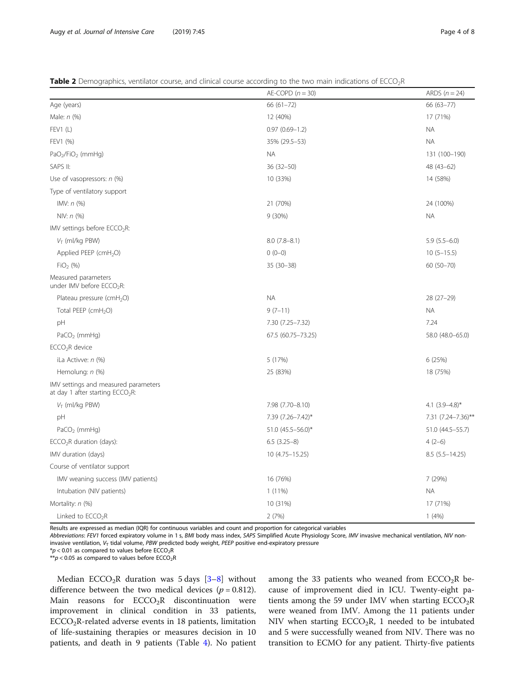#### <span id="page-3-0"></span>Table 2 Demographics, ventilator course, and clinical course according to the two main indications of ECCO<sub>2</sub>R

|                                                                            | $AE-COPD (n = 30)$ | ARDS $(n = 24)$     |
|----------------------------------------------------------------------------|--------------------|---------------------|
| Age (years)                                                                | 66 (61-72)         | 66 (63-77)          |
| Male: n (%)                                                                | 12 (40%)           | 17 (71%)            |
| FEV1 (L)                                                                   | $0.97(0.69 - 1.2)$ | <b>NA</b>           |
| FEV1 (%)                                                                   | 35% (29.5-53)      | <b>NA</b>           |
| $PaO2/FiO2$ (mmHg)                                                         | <b>NA</b>          | 131 (100-190)       |
| SAPS II:                                                                   | $36(32 - 50)$      | 48 (43-62)          |
| Use of vasopressors: $n$ (%)                                               | 10 (33%)           | 14 (58%)            |
| Type of ventilatory support                                                |                    |                     |
| IMV: $n$ (%)                                                               | 21 (70%)           | 24 (100%)           |
| NIV: $n$ (%)                                                               | $9(30\%)$          | <b>NA</b>           |
| IMV settings before ECCO <sub>2</sub> R:                                   |                    |                     |
| $V_T$ (ml/kg PBW)                                                          | $8.0(7.8-8.1)$     | $5.9(5.5-6.0)$      |
| Applied PEEP (cmH <sub>2</sub> O)                                          | $0(0-0)$           | $10(5-15.5)$        |
| $FiO2$ (%)                                                                 | $35(30-38)$        | 60 (50-70)          |
| Measured parameters<br>under IMV before ECCO <sub>2</sub> R:               |                    |                     |
| Plateau pressure (cmH <sub>2</sub> O)                                      | <b>NA</b>          | $28(27-29)$         |
| Total PEEP (cmH <sub>2</sub> O)                                            | $9(7-11)$          | <b>NA</b>           |
| pH                                                                         | 7.30 (7.25-7.32)   | 7.24                |
| $PaCO2$ (mmHg)                                                             | 67.5 (60.75-73.25) | 58.0 (48.0-65.0)    |
| ECCO <sub>2</sub> R device                                                 |                    |                     |
| iLa Activve: n (%)                                                         | 5 (17%)            | 6 (25%)             |
| Hemolung: n (%)                                                            | 25 (83%)           | 18 (75%)            |
| IMV settings and measured parameters<br>at day 1 after starting $ECCO2R$ : |                    |                     |
| $V_T$ (ml/kg PBW)                                                          | 7.98 (7.70-8.10)   | 4.1 $(3.9 - 4.8)^*$ |
| pH                                                                         | 7.39 (7.26-7.42)*  | 7.31 (7.24–7.36)**  |
| $PaCO2$ (mmHg)                                                             | 51.0 (45.5-56.0)*  | 51.0 (44.5-55.7)    |
| $ECCO2R$ duration (days):                                                  | $6.5(3.25-8)$      | $4(2-6)$            |
| IMV duration (days)                                                        | 10 (4.75 - 15.25)  | $8.5(5.5 - 14.25)$  |
| Course of ventilator support                                               |                    |                     |
| IMV weaning success (IMV patients)                                         | 16 (76%)           | 7 (29%)             |
| Intubation (NIV patients)                                                  | $1(11\%)$          | <b>NA</b>           |
| Mortality: n (%)                                                           | 10 (31%)           | 17 (71%)            |
| Linked to ECCO <sub>2</sub> R                                              | 2(7%)              | 1(4%)               |

Results are expressed as median (IQR) for continuous variables and count and proportion for categorical variables

Abbreviations: FEV1 forced expiratory volume in 1 s, BMI body mass index, SAPS Simplified Acute Physiology Score, IMV invasive mechanical ventilation, NIV noninvasive ventilation,  $V<sub>T</sub>$  tidal volume, PBW predicted body weight, PEEP positive end-expiratory pressure

 $*p$  < 0.01 as compared to values before ECCO<sub>2</sub>R

 $**p < 0.05$  as compared to values before ECCO<sub>2</sub>R

Median ECCO<sub>2</sub>R duration was 5 days  $[3-8]$  $[3-8]$  $[3-8]$  without difference between the two medical devices ( $p = 0.812$ ). Main reasons for  $ECCO<sub>2</sub>R$  discontinuation were improvement in clinical condition in 33 patients,  $ECCO<sub>2</sub>R$ -related adverse events in 18 patients, limitation of life-sustaining therapies or measures decision in 10 patients, and death in 9 patients (Table [4\)](#page-4-0). No patient among the 33 patients who weaned from  $ECCO<sub>2</sub>R$  because of improvement died in ICU. Twenty-eight patients among the 59 under IMV when starting  $ECCO<sub>2</sub>R$ were weaned from IMV. Among the 11 patients under NIV when starting  $ECCO<sub>2</sub>R$ , 1 needed to be intubated and 5 were successfully weaned from NIV. There was no transition to ECMO for any patient. Thirty-five patients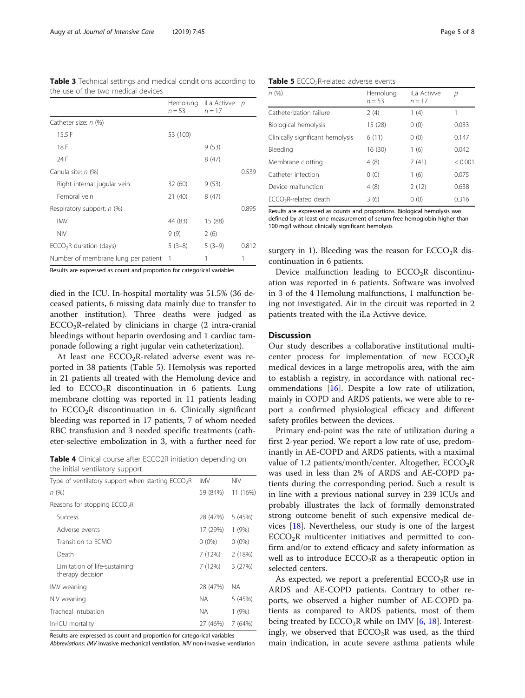| the use of the two medical devices |                   |                        |  |
|------------------------------------|-------------------|------------------------|--|
|                                    | $n = 53$ $n = 17$ | Hemolung iLa Activve p |  |
| Catheter size: n (%)               |                   |                        |  |
| 15.5F                              | 53 (100)          |                        |  |
| 18 F                               |                   | 9(53)                  |  |
| 24 F                               |                   | 8(47)                  |  |

Canula site:  $n$  (%) 0.539

Respiratory support:  $n$  (%) 0.895 IMV 44 (83) 15 (88) NIV 9 (9) 2 (6)

Right internal jugular vein 32 (60) 9 (53) Femoral vein 21 (40) 8 (47)

<span id="page-4-0"></span>Table 3 Technical settings and medical conditions according to

| $ECCO2R$ duration (days)              | $5(3-8)$ | $5(3-9)$ | 0.812 |
|---------------------------------------|----------|----------|-------|
| Number of membrane lung per patient 1 |          |          |       |

Results are expressed as count and proportion for categorical variables

died in the ICU. In-hospital mortality was 51.5% (36 deceased patients, 6 missing data mainly due to transfer to another institution). Three deaths were judged as  $ECCO<sub>2</sub>R-related by chinicians in charge (2 intra-cranial)$ bleedings without heparin overdosing and 1 cardiac tamponade following a right jugular vein catheterization).

At least one  $ECCO<sub>2</sub>R$ -related adverse event was reported in 38 patients (Table 5). Hemolysis was reported in 21 patients all treated with the Hemolung device and led to  $ECCO<sub>2</sub>R$  discontinuation in 6 patients. Lung membrane clotting was reported in 11 patients leading to  $ECCO<sub>2</sub>R$  discontinuation in 6. Clinically significant bleeding was reported in 17 patients, 7 of whom needed RBC transfusion and 3 needed specific treatments (catheter-selective embolization in 3, with a further need for

Table 4 Clinical course after ECCO2R initiation depending on the initial ventilatory support

| Type of ventilatory support when starting $ECCO2R$ | IMV      | <b>NIV</b> |
|----------------------------------------------------|----------|------------|
| n (%)                                              | 59 (84%) | 11 (16%)   |
| Reasons for stopping $ECCO2R$                      |          |            |
| Success                                            | 28 (47%) | 5 (45%)    |
| Adverse events                                     | 17 (29%) | 1(9%)      |
| Transition to FCMO                                 | $0(0\%)$ | $0(0\%)$   |
| Death                                              | 7 (12%)  | 2(18%)     |
| Limitation of life-sustaining<br>therapy decision  | 7 (12%)  | 3(27%)     |
| IMV weaning                                        | 28 (47%) | NА         |
| NIV weaning                                        | ΝA       | 5 (45%)    |
| Tracheal intubation                                | ΝA       | 1(9%)      |
| In-ICU mortality                                   | 27 (46%) | 7 (64%)    |

Results are expressed as count and proportion for categorical variables

Abbreviations: IMV invasive mechanical ventilation, NIV non-invasive ventilation

Table 5 ECCO<sub>2</sub>R-related adverse events

| n(%)                              | Hemolung<br>$n = 53$ | iLa Activve<br>$n = 17$ | р       |
|-----------------------------------|----------------------|-------------------------|---------|
| Catheterization failure           | 2(4)                 | 1(4)                    | 1       |
| Biological hemolysis              | 15 (28)              | 0(0)                    | 0.033   |
| Clinically significant hemolysis  | 6(11)                | 0(0)                    | 0.147   |
| Bleeding                          | 16 (30)              | 1(6)                    | 0.042   |
| Membrane clotting                 | 4(8)                 | 7(41)                   | < 0.001 |
| Catheter infection                | 0(0)                 | 1(6)                    | 0.075   |
| Device malfunction                | 4(8)                 | 2(12)                   | 0.638   |
| ECCO <sub>2</sub> R-related death | 3(6)                 | 0(0)                    | 0.316   |
|                                   |                      |                         |         |

Results are expressed as counts and proportions. Biological hemolysis was defined by at least one measurement of serum-free hemoglobin higher than 100 mg/l without clinically significant hemolysis

surgery in 1). Bleeding was the reason for  $ECCO<sub>2</sub>R$  discontinuation in 6 patients.

Device malfunction leading to  $ECCO<sub>2</sub>R$  discontinuation was reported in 6 patients. Software was involved in 3 of the 4 Hemolung malfunctions, 1 malfunction being not investigated. Air in the circuit was reported in 2 patients treated with the iLa Activve device.

#### **Discussion**

Our study describes a collaborative institutional multicenter process for implementation of new  $ECCO<sub>2</sub>R$ medical devices in a large metropolis area, with the aim to establish a registry, in accordance with national recommendations [\[16](#page-6-0)]. Despite a low rate of utilization, mainly in COPD and ARDS patients, we were able to report a confirmed physiological efficacy and different safety profiles between the devices.

Primary end-point was the rate of utilization during a first 2-year period. We report a low rate of use, predominantly in AE-COPD and ARDS patients, with a maximal value of 1.2 patients/month/center. Altogether,  $ECCO<sub>2</sub>R$ was used in less than 2% of ARDS and AE-COPD patients during the corresponding period. Such a result is in line with a previous national survey in 239 ICUs and probably illustrates the lack of formally demonstrated strong outcome benefit of such expensive medical devices [[18](#page-7-0)]. Nevertheless, our study is one of the largest  $ECCO<sub>2</sub>R$  multicenter initiatives and permitted to confirm and/or to extend efficacy and safety information as well as to introduce  $ECCO<sub>2</sub>R$  as a therapeutic option in selected centers.

As expected, we report a preferential  $ECCO<sub>2</sub>R$  use in ARDS and AE-COPD patients. Contrary to other reports, we observed a higher number of AE-COPD patients as compared to ARDS patients, most of them being treated by  $ECCO<sub>2</sub>R$  while on IMV [[6,](#page-6-0) [18](#page-7-0)]. Interestingly, we observed that  $ECCO<sub>2</sub>R$  was used, as the third main indication, in acute severe asthma patients while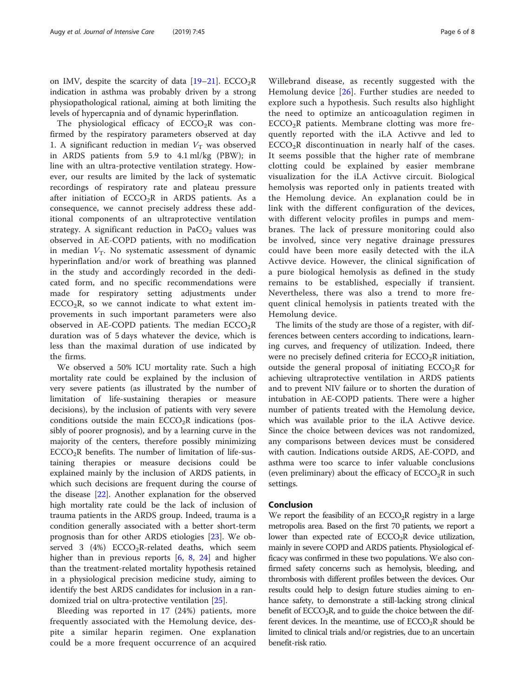The physiological efficacy of  $ECCO<sub>2</sub>R$  was confirmed by the respiratory parameters observed at day 1. A significant reduction in median  $V<sub>T</sub>$  was observed in ARDS patients from 5.9 to 4.1 ml/kg (PBW); in line with an ultra-protective ventilation strategy. However, our results are limited by the lack of systematic recordings of respiratory rate and plateau pressure after initiation of  $ECCO<sub>2</sub>R$  in ARDS patients. As a consequence, we cannot precisely address these additional components of an ultraprotective ventilation strategy. A significant reduction in  $PaCO<sub>2</sub>$  values was observed in AE-COPD patients, with no modification in median  $V_T$ . No systematic assessment of dynamic hyperinflation and/or work of breathing was planned in the study and accordingly recorded in the dedicated form, and no specific recommendations were made for respiratory setting adjustments under  $ECCO<sub>2</sub>R$ , so we cannot indicate to what extent improvements in such important parameters were also observed in AE-COPD patients. The median  $ECCO<sub>2</sub>R$ duration was of 5 days whatever the device, which is less than the maximal duration of use indicated by the firms.

We observed a 50% ICU mortality rate. Such a high mortality rate could be explained by the inclusion of very severe patients (as illustrated by the number of limitation of life-sustaining therapies or measure decisions), by the inclusion of patients with very severe conditions outside the main  $ECCO<sub>2</sub>R$  indications (possibly of poorer prognosis), and by a learning curve in the majority of the centers, therefore possibly minimizing  $ECCO<sub>2</sub>R$  benefits. The number of limitation of life-sustaining therapies or measure decisions could be explained mainly by the inclusion of ARDS patients, in which such decisions are frequent during the course of the disease [\[22](#page-7-0)]. Another explanation for the observed high mortality rate could be the lack of inclusion of trauma patients in the ARDS group. Indeed, trauma is a condition generally associated with a better short-term prognosis than for other ARDS etiologies [\[23\]](#page-7-0). We observed 3 (4%)  $ECCO<sub>2</sub>R$ -related deaths, which seemhigher than in previous reports [[6,](#page-6-0) [8,](#page-6-0) [24\]](#page-7-0) and higher than the treatment-related mortality hypothesis retained in a physiological precision medicine study, aiming to identify the best ARDS candidates for inclusion in a randomized trial on ultra-protective ventilation [[25\]](#page-7-0).

Bleeding was reported in 17 (24%) patients, more frequently associated with the Hemolung device, despite a similar heparin regimen. One explanation could be a more frequent occurrence of an acquired

Willebrand disease, as recently suggested with the Hemolung device [[26](#page-7-0)]. Further studies are needed to explore such a hypothesis. Such results also highlight the need to optimize an anticoagulation regimen in ECCO2R patients. Membrane clotting was more frequently reported with the iLA Activve and led to  $ECCO<sub>2</sub>R$  discontinuation in nearly half of the cases. It seems possible that the higher rate of membrane clotting could be explained by easier membrane visualization for the iLA Activve circuit. Biological hemolysis was reported only in patients treated with the Hemolung device. An explanation could be in link with the different configuration of the devices, with different velocity profiles in pumps and membranes. The lack of pressure monitoring could also be involved, since very negative drainage pressures could have been more easily detected with the iLA Activve device. However, the clinical signification of a pure biological hemolysis as defined in the study remains to be established, especially if transient. Nevertheless, there was also a trend to more frequent clinical hemolysis in patients treated with the Hemolung device.

The limits of the study are those of a register, with differences between centers according to indications, learning curves, and frequency of utilization. Indeed, there were no precisely defined criteria for  $ECCO<sub>2</sub>R$  initiation, outside the general proposal of initiating  $ECCO<sub>2</sub>R$  for achieving ultraprotective ventilation in ARDS patients and to prevent NIV failure or to shorten the duration of intubation in AE-COPD patients. There were a higher number of patients treated with the Hemolung device, which was available prior to the iLA Activve device. Since the choice between devices was not randomized, any comparisons between devices must be considered with caution. Indications outside ARDS, AE-COPD, and asthma were too scarce to infer valuable conclusions (even preliminary) about the efficacy of  $ECCO<sub>2</sub>R$  in such settings.

#### Conclusion

We report the feasibility of an  $ECCO<sub>2</sub>R$  registry in a large metropolis area. Based on the first 70 patients, we report a lower than expected rate of  $ECCO<sub>2</sub>R$  device utilization, mainly in severe COPD and ARDS patients. Physiological efficacy was confirmed in these two populations. We also confirmed safety concerns such as hemolysis, bleeding, and thrombosis with different profiles between the devices. Our results could help to design future studies aiming to enhance safety, to demonstrate a still-lacking strong clinical benefit of  $ECCO<sub>2</sub>R$ , and to guide the choice between the different devices. In the meantime, use of  $ECCO<sub>2</sub>R$  should be limited to clinical trials and/or registries, due to an uncertain benefit-risk ratio.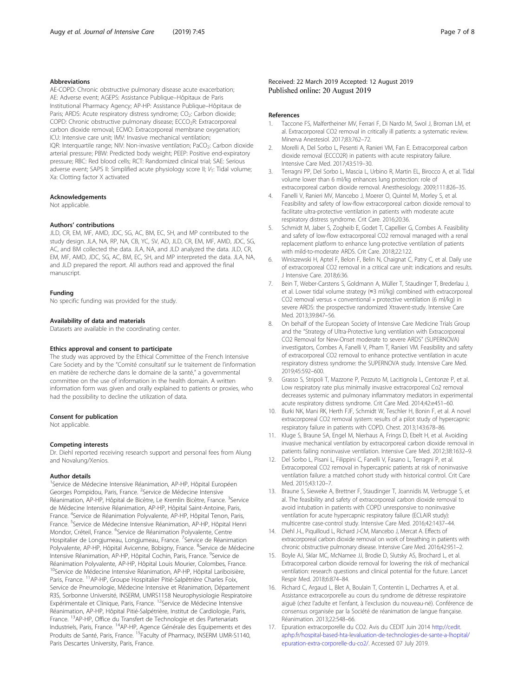#### <span id="page-6-0"></span>Abbreviations

AE-COPD: Chronic obstructive pulmonary disease acute exacerbation; AE: Adverse event; AGEPS: Assistance Publique–Hôpitaux de Paris Institutional Pharmacy Agency; AP-HP: Assistance Publique–Hôpitaux de Paris; ARDS: Acute respiratory distress syndrome; CO<sub>2</sub>: Carbon dioxide; COPD: Chronic obstructive pulmonary disease; ECCO<sub>2</sub>R: Extracorporeal carbon dioxide removal; ECMO: Extracorporeal membrane oxygenation; ICU: Intensive care unit; IMV: Invasive mechanical ventilation; IQR: Interquartile range; NIV: Non-invasive ventilation; PaCO<sub>2</sub>: Carbon dioxide arterial pressure; PBW: Predicted body weight; PEEP: Positive end-expiratory pressure; RBC: Red blood cells; RCT: Randomized clinical trial; SAE: Serious adverse event; SAPS II: Simplified acute physiology score II;  $V_T$ : Tidal volume; Xa: Clotting factor X activated

#### Acknowledgements

Not applicable.

#### Authors' contributions

JLD, CR, EM, MF, AMD, JDC, SG, AC, BM, EC, SH, and MP contributed to the study design. JLA, NA, RP, NA, CB, YC, SV, AD, JLD, CR, EM, MF, AMD, JDC, SG, AC, and BM collected the data. JLA, NA, and JLD analyzed the data. JLD, CR, EM, MF, AMD, JDC, SG, AC, BM, EC, SH, and MP interpreted the data. JLA, NA, and JLD prepared the report. All authors read and approved the final manuscript.

#### Funding

No specific funding was provided for the study.

#### Availability of data and materials

Datasets are available in the coordinating center.

#### Ethics approval and consent to participate

The study was approved by the Ethical Committee of the French Intensive Care Society and by the "Comité consultatif sur le traitement de l'information en matière de recherche dans le domaine de la santé," a governmental committee on the use of information in the health domain. A written information form was given and orally explained to patients or proxies, who had the possibility to decline the utilization of data.

#### Consent for publication

Not applicable.

#### Competing interests

Dr. Diehl reported receiving research support and personal fees from Alung and Novalung/Xenios.

#### Author details

<sup>1</sup>Service de Médecine Intensive Réanimation, AP-HP, Hôpital Européen Georges Pompidou, Paris, France. <sup>2</sup>Service de Médecine Intensive Réanimation, AP-HP, Hôpital de Bicètre, Le Kremlin Bicètre, France. <sup>3</sup>Service de Médecine Intensive Réanimation, AP-HP, Hôpital Saint-Antoine, Paris, France. <sup>4</sup>Service de Réanimation Polyvalente, AP-HP, Hôpital Tenon, Paris, France. <sup>5</sup>Service de Médecine Intensive Réanimation, AP-HP, Hôpital Henri Mondor, Créteil, France. <sup>6</sup>Service de Réanimation Polyvalente, Centre Hospitalier de Longjumeau, Longjumeau, France. <sup>7</sup>Service de Réanimation Polyvalente, AP-HP, Hôpital Avicenne, Bobigny, France. <sup>8</sup>Service de Médecine Intensive Réanimation, AP-HP, Hôpital Cochin, Paris, France. <sup>9</sup>Service de Réanimation Polyvalente, AP-HP, Hôpital Louis Mourier, Colombes, France. <sup>10</sup>Service de Médecine Intensive Réanimation, AP-HP, Hôpital Lariboisière, Paris, France. <sup>11</sup>AP-HP, Groupe Hospitalier Pitié-Salpêtrière Charles Foix, Service de Pneumologie, Médecine Intensive et Réanimation, Département R3S, Sorbonne Université, INSERM, UMRS1158 Neurophysiologie Respiratoire Expérimentale et Clinique, Paris, France. 12Service de Médecine Intensive Réanimation, AP-HP, Hôpital Pitié-Salpétrière, Institut de Cardiologie, Paris, France. <sup>13</sup>AP-HP, Office du Transfert de Technologie et des Partenariats Industriels, Paris, France. 14AP-HP, Agence Générale des Equipements et des Produits de Santé, Paris, France. <sup>15</sup> Faculty of Pharmacy, INSERM UMR-S1140, Paris Descartes University, Paris, France.

#### Received: 22 March 2019 Accepted: 12 August 2019 Published online: 20 August 2019

#### References

- 1. Taccone FS, Malfertheiner MV, Ferrari F, Di Nardo M, Swol J, Broman LM, et al. Extracorporeal CO2 removal in critically ill patients: a systematic review. Minerva Anestesiol. 2017;83:762–72.
- 2. Morelli A, Del Sorbo L, Pesenti A, Ranieri VM, Fan E. Extracorporeal carbon dioxide removal (ECCO2R) in patients with acute respiratory failure. Intensive Care Med. 2017;43:519–30.
- 3. Terragni PP, Del Sorbo L, Mascia L, Urbino R, Martin EL, Birocco A, et al. Tidal volume lower than 6 ml/kg enhances lung protection: role of extracorporeal carbon dioxide removal. Anesthesiology. 2009;111:826–35.
- 4. Fanelli V, Ranieri MV, Mancebo J, Moerer O, Quintel M, Morley S, et al. Feasibility and safety of low-flow extracorporeal carbon dioxide removal to facilitate ultra-protective ventilation in patients with moderate acute respiratory distress syndrome. Crit Care. 2016;20:36.
- 5. Schmidt M, Jaber S, Zogheib E, Godet T, Capellier G, Combes A. Feasibility and safety of low-flow extracorporeal CO2 removal managed with a renal replacement platform to enhance lung-protective ventilation of patients with mild-to-moderate ARDS. Crit Care. 2018;22:122.
- 6. Winiszewski H, Aptel F, Belon F, Belin N, Chaignat C, Patry C, et al. Daily use of extracorporeal CO2 removal in a critical care unit: indications and results. J Intensive Care. 2018;6:36.
- 7. Bein T, Weber-Carstens S, Goldmann A, Müller T, Staudinger T, Brederlau J, et al. Lower tidal volume strategy (≈3 ml/kg) combined with extracorporeal CO2 removal versus « conventional » protective ventilation (6 ml/kg) in severe ARDS: the prospective randomized Xtravent-study. Intensive Care Med. 2013;39:847–56.
- 8. On behalf of the European Society of Intensive Care Medicine Trials Group and the "Strategy of Ultra-Protective lung ventilation with Extracorporeal CO2 Removal for New-Onset moderate to severe ARDS" (SUPERNOVA) investigators, Combes A, Fanelli V, Pham T, Ranieri VM. Feasibility and safety of extracorporeal CO2 removal to enhance protective ventilation in acute respiratory distress syndrome: the SUPERNOVA study. Intensive Care Med. 2019;45:592–600.
- 9. Grasso S, Stripoli T, Mazzone P, Pezzuto M, Lacitignola L, Centonze P, et al. Low respiratory rate plus minimally invasive extracorporeal Co2 removal decreases systemic and pulmonary inflammatory mediators in experimental acute respiratory distress syndrome. Crit Care Med. 2014;42:e451–60.
- 10. Burki NK, Mani RK, Herth FJF, Schmidt W, Teschler H, Bonin F, et al. A novel extracorporeal CO2 removal system: results of a pilot study of hypercapnic respiratory failure in patients with COPD. Chest. 2013;143:678–86.
- 11. Kluge S, Braune SA, Engel M, Nierhaus A, Frings D, Ebelt H, et al. Avoiding invasive mechanical ventilation by extracorporeal carbon dioxide removal in patients failing noninvasive ventilation. Intensive Care Med. 2012;38:1632–9.
- 12. Del Sorbo L, Pisani L, Filippini C, Fanelli V, Fasano L, Terragni P, et al. Extracorporeal CO2 removal in hypercapnic patients at risk of noninvasive ventilation failure: a matched cohort study with historical control. Crit Care Med. 2015;43:120-7
- 13. Braune S, Sieweke A, Brettner F, Staudinger T, Joannidis M, Verbrugge S, et al. The feasibility and safety of extracorporeal carbon dioxide removal to avoid intubation in patients with COPD unresponsive to noninvasive ventilation for acute hypercapnic respiratory failure (ECLAIR study): multicentre case-control study. Intensive Care Med. 2016;42:1437–44.
- 14. Diehl J-L, Piquilloud L, Richard J-CM, Mancebo J, Mercat A. Effects of extracorporeal carbon dioxide removal on work of breathing in patients with chronic obstructive pulmonary disease. Intensive Care Med. 2016;42:951–2.
- 15. Boyle AJ, Sklar MC, McNamee JJ, Brodie D, Slutsky AS, Brochard L, et al. Extracorporeal carbon dioxide removal for lowering the risk of mechanical ventilation: research questions and clinical potential for the future. Lancet Respir Med. 2018;6:874–84.
- 16. Richard C, Argaud L, Blet A, Boulain T, Contentin L, Dechartres A, et al. Assistance extracorporelle au cours du syndrome de détresse respiratoire aiguë (chez l'adulte et l'enfant, à l'exclusion du nouveau-né). Conférence de consensus organisée par la Société de réanimation de langue française. Réanimation. 2013;22:548–66.
- 17. Epuration extracorporelle du CO2. Avis du CEDIT Juin 2014 [http://cedit.](http://cedit.aphp.fr/hospital-based-hta-levaluation-de-technologies-de-sante-a-lhopital/epuration-extra-corporelle-du-co2/) [aphp.fr/hospital-based-hta-levaluation-de-technologies-de-sante-a-lhopital/](http://cedit.aphp.fr/hospital-based-hta-levaluation-de-technologies-de-sante-a-lhopital/epuration-extra-corporelle-du-co2/) [epuration-extra-corporelle-du-co2/](http://cedit.aphp.fr/hospital-based-hta-levaluation-de-technologies-de-sante-a-lhopital/epuration-extra-corporelle-du-co2/). Accessed 07 July 2019.